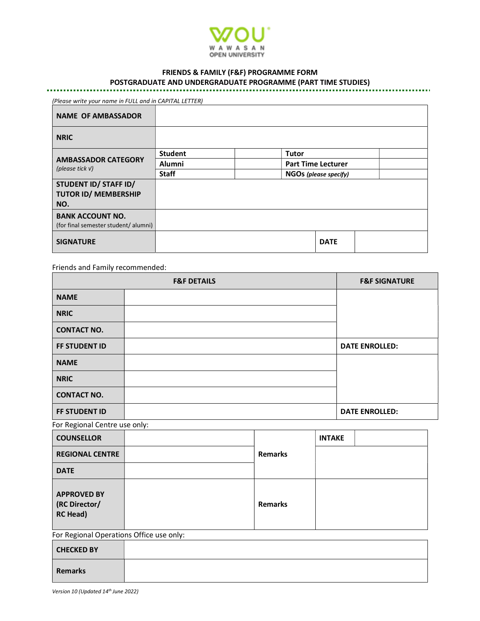

## FRIENDS & FAMILY (F&F) PROGRAMME FORM

# POSTGRADUATE AND UNDERGRADUATE PROGRAMME (PART TIME STUDIES)

| (Please write your name in FULL and in CAPITAL LETTER)          |                |              |                              |  |  |  |
|-----------------------------------------------------------------|----------------|--------------|------------------------------|--|--|--|
| <b>NAME OF AMBASSADOR</b>                                       |                |              |                              |  |  |  |
| <b>NRIC</b>                                                     |                |              |                              |  |  |  |
| <b>AMBASSADOR CATEGORY</b><br>(please tick $V$ )                | <b>Student</b> | <b>Tutor</b> |                              |  |  |  |
|                                                                 | <b>Alumni</b>  |              | <b>Part Time Lecturer</b>    |  |  |  |
|                                                                 | <b>Staff</b>   |              | <b>NGOs (please specify)</b> |  |  |  |
| STUDENT ID/ STAFF ID/<br><b>TUTOR ID/ MEMBERSHIP</b><br>NO.     |                |              |                              |  |  |  |
| <b>BANK ACCOUNT NO.</b><br>(for final semester student/ alumni) |                |              |                              |  |  |  |
| <b>SIGNATURE</b>                                                |                |              | <b>DATE</b>                  |  |  |  |

Friends and Family recommended:

|                                                        | <b>F&amp;F DETAILS</b> |                |               | <b>F&amp;F SIGNATURE</b> |  |
|--------------------------------------------------------|------------------------|----------------|---------------|--------------------------|--|
| <b>NAME</b>                                            |                        |                |               |                          |  |
| <b>NRIC</b>                                            |                        |                |               |                          |  |
| <b>CONTACT NO.</b>                                     |                        |                |               |                          |  |
| FF STUDENT ID                                          |                        |                |               | <b>DATE ENROLLED:</b>    |  |
| <b>NAME</b>                                            |                        |                |               |                          |  |
| <b>NRIC</b>                                            |                        |                |               |                          |  |
| <b>CONTACT NO.</b>                                     |                        |                |               |                          |  |
| FF STUDENT ID                                          |                        |                |               | <b>DATE ENROLLED:</b>    |  |
| For Regional Centre use only:                          |                        |                |               |                          |  |
| <b>COUNSELLOR</b>                                      |                        | <b>Remarks</b> | <b>INTAKE</b> |                          |  |
| <b>REGIONAL CENTRE</b>                                 |                        |                |               |                          |  |
| <b>DATE</b>                                            |                        |                |               |                          |  |
| <b>APPROVED BY</b><br>(RC Director/<br><b>RC Head)</b> |                        | <b>Remarks</b> |               |                          |  |
| For Regional Operations Office use only:               |                        |                |               |                          |  |
| <b>CHECKED BY</b>                                      |                        |                |               |                          |  |
| <b>Remarks</b>                                         |                        |                |               |                          |  |

Version 10 (Updated 14<sup>th</sup> June 2022)